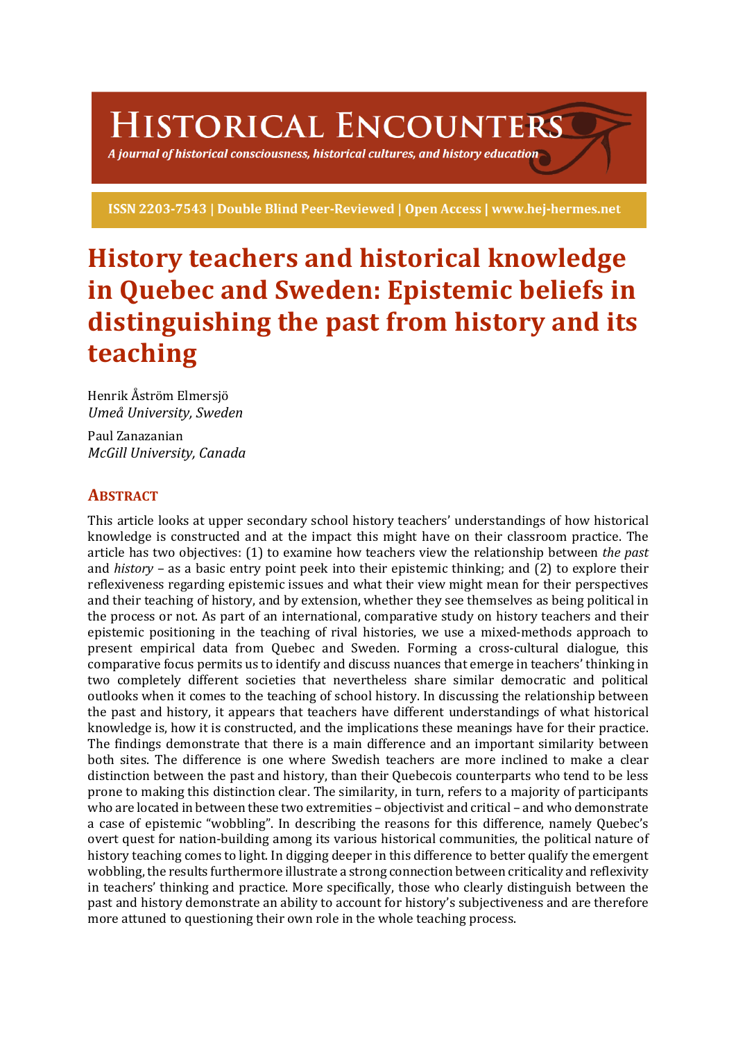# **HISTORICAL ENCOUNTERS**

A journal of historical consciousness, historical cultures, and history education  $\geq$ 

ISSN 2203-7543 | Double Blind Peer-Reviewed | Open Access | www.hej-hermes.net

# **History teachers and historical knowledge** in Quebec and Sweden: Epistemic beliefs in distinguishing the past from history and its **teaching**

Henrik Åström Elmersjö *Umeå University, Sweden*

Paul Zanazanian *McGill University, Canada*

# **ABSTRACT**

This article looks at upper secondary school history teachers' understandings of how historical knowledge is constructed and at the impact this might have on their classroom practice. The article has two objectives: (1) to examine how teachers view the relationship between *the past* and *history* – as a basic entry point peek into their epistemic thinking; and (2) to explore their reflexiveness regarding epistemic issues and what their view might mean for their perspectives and their teaching of history, and by extension, whether they see themselves as being political in the process or not. As part of an international, comparative study on history teachers and their epistemic positioning in the teaching of rival histories, we use a mixed-methods approach to present empirical data from Quebec and Sweden. Forming a cross-cultural dialogue, this comparative focus permits us to identify and discuss nuances that emerge in teachers' thinking in two completely different societies that nevertheless share similar democratic and political outlooks when it comes to the teaching of school history. In discussing the relationship between the past and history, it appears that teachers have different understandings of what historical knowledge is, how it is constructed, and the implications these meanings have for their practice. The findings demonstrate that there is a main difference and an important similarity between both sites. The difference is one where Swedish teachers are more inclined to make a clear distinction between the past and history, than their Quebecois counterparts who tend to be less prone to making this distinction clear. The similarity, in turn, refers to a majority of participants who are located in between these two extremities – objectivist and critical – and who demonstrate a case of epistemic "wobbling". In describing the reasons for this difference, namely Quebec's overt quest for nation-building among its various historical communities, the political nature of history teaching comes to light. In digging deeper in this difference to better qualify the emergent wobbling, the results furthermore illustrate a strong connection between criticality and reflexivity in teachers' thinking and practice. More specifically, those who clearly distinguish between the past and history demonstrate an ability to account for history's subjectiveness and are therefore more attuned to questioning their own role in the whole teaching process.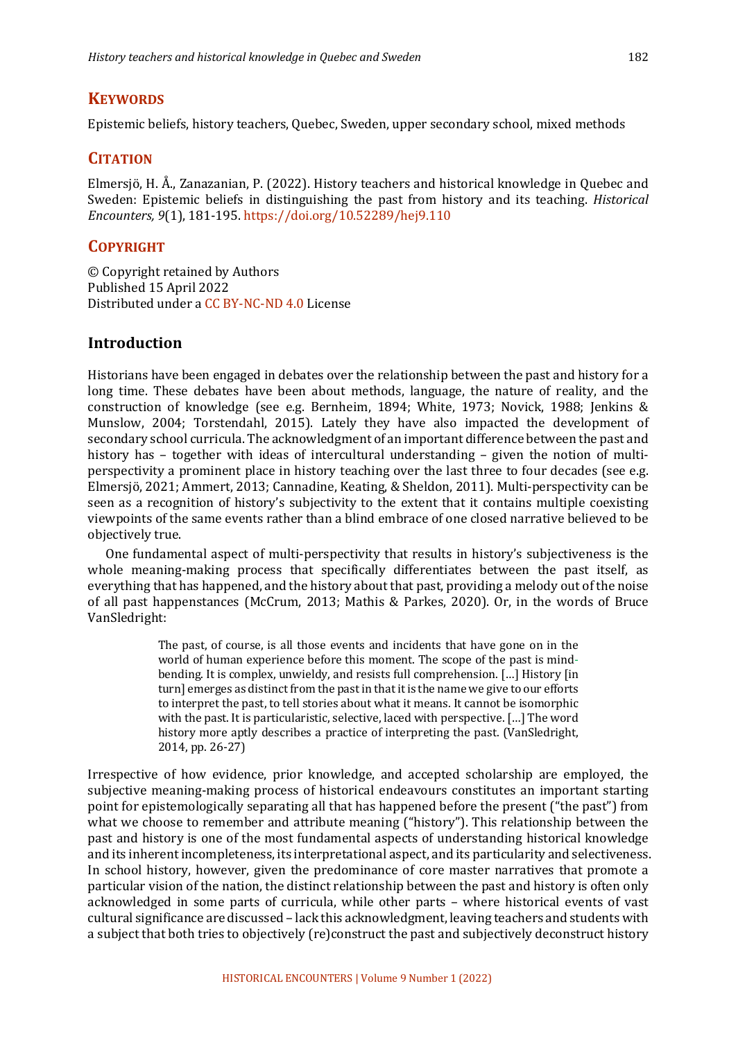#### **KEYWORDS**

Epistemic beliefs, history teachers, Quebec, Sweden, upper secondary school, mixed methods

# **CITATION**

Elmersiö, H. Å., Zanazanian, P. (2022). History teachers and historical knowledge in Quebec and Sweden: Epistemic beliefs in distinguishing the past from history and its teaching. *Historical Encounters, 9*(1), 181-195. https://doi.org/10.52289/hej9.110

#### **COPYRIGHT**

© Copyright retained by Authors Published 15 April 2022 Distributed under a CC BY-NC-ND 4.0 License

#### **Introduction**

Historians have been engaged in debates over the relationship between the past and history for a long time. These debates have been about methods, language, the nature of reality, and the construction of knowledge (see e.g. Bernheim, 1894; White, 1973; Novick, 1988; Jenkins & Munslow, 2004; Torstendahl, 2015). Lately they have also impacted the development of secondary school curricula. The acknowledgment of an important difference between the past and history has  $-$  together with ideas of intercultural understanding  $-$  given the notion of multiperspectivity a prominent place in history teaching over the last three to four decades (see e.g. Elmersjö, 2021; Ammert, 2013; Cannadine, Keating, & Sheldon, 2011). Multi-perspectivity can be seen as a recognition of history's subjectivity to the extent that it contains multiple coexisting viewpoints of the same events rather than a blind embrace of one closed narrative believed to be objectively true.

One fundamental aspect of multi-perspectivity that results in history's subjectiveness is the whole meaning-making process that specifically differentiates between the past itself, as everything that has happened, and the history about that past, providing a melody out of the noise of all past happenstances (McCrum, 2013; Mathis & Parkes, 2020). Or, in the words of Bruce VanSledright:

> The past, of course, is all those events and incidents that have gone on in the world of human experience before this moment. The scope of the past is mindbending. It is complex, unwieldy, and resists full comprehension. [...] History [in turn] emerges as distinct from the past in that it is the name we give to our efforts to interpret the past, to tell stories about what it means. It cannot be isomorphic with the past. It is particularistic, selective, laced with perspective. [...] The word history more aptly describes a practice of interpreting the past. (VanSledright, 2014, pp. 26-27)

Irrespective of how evidence, prior knowledge, and accepted scholarship are employed, the subjective meaning-making process of historical endeavours constitutes an important starting point for epistemologically separating all that has happened before the present ("the past") from what we choose to remember and attribute meaning ("history"). This relationship between the past and history is one of the most fundamental aspects of understanding historical knowledge and its inherent incompleteness, its interpretational aspect, and its particularity and selectiveness. In school history, however, given the predominance of core master narratives that promote a particular vision of the nation, the distinct relationship between the past and history is often only acknowledged in some parts of curricula, while other parts - where historical events of vast cultural significance are discussed – lack this acknowledgment, leaving teachers and students with a subject that both tries to objectively (re)construct the past and subjectively deconstruct history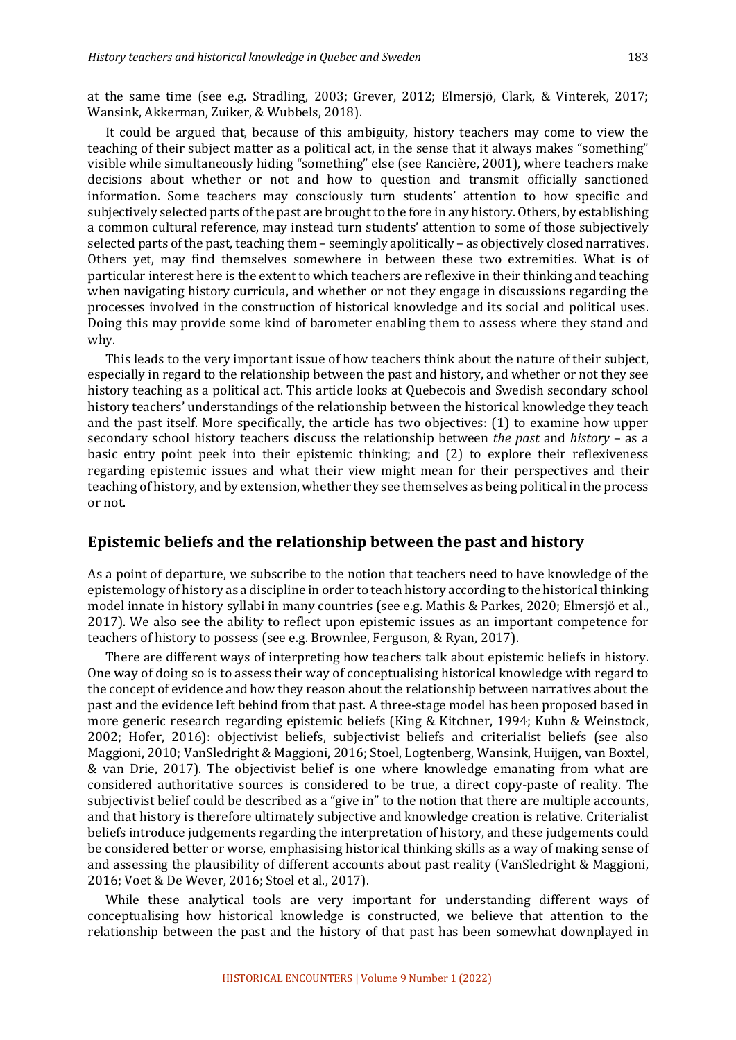at the same time (see e.g. Stradling, 2003; Grever, 2012; Elmersjö, Clark, & Vinterek, 2017; Wansink, Akkerman, Zuiker, & Wubbels, 2018).

It could be argued that, because of this ambiguity, history teachers may come to view the teaching of their subject matter as a political act, in the sense that it always makes "something" visible while simultaneously hiding "something" else (see Rancière, 2001), where teachers make decisions about whether or not and how to question and transmit officially sanctioned information. Some teachers may consciously turn students' attention to how specific and subjectively selected parts of the past are brought to the fore in any history. Others, by establishing a common cultural reference, may instead turn students' attention to some of those subjectively selected parts of the past, teaching them – seemingly apolitically – as objectively closed narratives. Others yet, may find themselves somewhere in between these two extremities. What is of particular interest here is the extent to which teachers are reflexive in their thinking and teaching when navigating history curricula, and whether or not they engage in discussions regarding the processes involved in the construction of historical knowledge and its social and political uses. Doing this may provide some kind of barometer enabling them to assess where they stand and why.

This leads to the very important issue of how teachers think about the nature of their subject, especially in regard to the relationship between the past and history, and whether or not they see history teaching as a political act. This article looks at Quebecois and Swedish secondary school history teachers' understandings of the relationship between the historical knowledge they teach and the past itself. More specifically, the article has two objectives:  $(1)$  to examine how upper secondary school history teachers discuss the relationship between *the past* and *history* – as a basic entry point peek into their epistemic thinking; and (2) to explore their reflexiveness regarding epistemic issues and what their view might mean for their perspectives and their teaching of history, and by extension, whether they see themselves as being political in the process or not.

#### **Epistemic beliefs and the relationship between the past and history**

As a point of departure, we subscribe to the notion that teachers need to have knowledge of the epistemology of history as a discipline in order to teach history according to the historical thinking model innate in history syllabi in many countries (see e.g. Mathis & Parkes, 2020; Elmersjö et al., 2017). We also see the ability to reflect upon epistemic issues as an important competence for teachers of history to possess (see e.g. Brownlee, Ferguson, & Ryan, 2017).

There are different ways of interpreting how teachers talk about epistemic beliefs in history. One way of doing so is to assess their way of conceptualising historical knowledge with regard to the concept of evidence and how they reason about the relationship between narratives about the past and the evidence left behind from that past. A three-stage model has been proposed based in more generic research regarding epistemic beliefs (King & Kitchner, 1994; Kuhn & Weinstock, 2002; Hofer, 2016): objectivist beliefs, subjectivist beliefs and criterialist beliefs (see also Maggioni, 2010; VanSledright & Maggioni, 2016; Stoel, Logtenberg, Wansink, Huijgen, van Boxtel, & van Drie, 2017). The objectivist belief is one where knowledge emanating from what are considered authoritative sources is considered to be true, a direct copy-paste of reality. The subjectivist belief could be described as a "give in" to the notion that there are multiple accounts, and that history is therefore ultimately subjective and knowledge creation is relative. Criterialist beliefs introduce judgements regarding the interpretation of history, and these judgements could be considered better or worse, emphasising historical thinking skills as a way of making sense of and assessing the plausibility of different accounts about past reality (VanSledright  $& Maggioni,$ 2016; Voet & De Wever, 2016; Stoel et al., 2017).

While these analytical tools are very important for understanding different ways of conceptualising how historical knowledge is constructed, we believe that attention to the relationship between the past and the history of that past has been somewhat downplayed in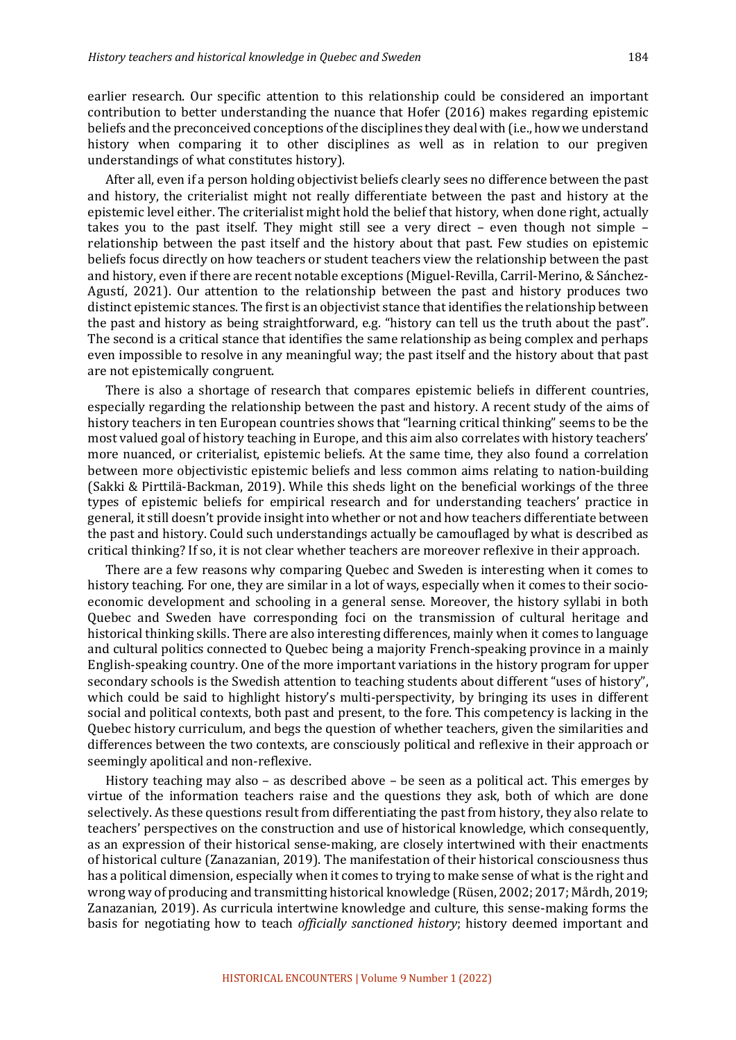earlier research. Our specific attention to this relationship could be considered an important contribution to better understanding the nuance that Hofer (2016) makes regarding epistemic beliefs and the preconceived conceptions of the disciplines they deal with (i.e., how we understand history when comparing it to other disciplines as well as in relation to our pregiven understandings of what constitutes history).

After all, even if a person holding objectivist beliefs clearly sees no difference between the past and history, the criterialist might not really differentiate between the past and history at the epistemic level either. The criterialist might hold the belief that history, when done right, actually takes you to the past itself. They might still see a very direct – even though not simple – relationship between the past itself and the history about that past. Few studies on epistemic beliefs focus directly on how teachers or student teachers view the relationship between the past and history, even if there are recent notable exceptions (Miguel-Revilla, Carril-Merino, & Sánchez-Agustí, 2021). Our attention to the relationship between the past and history produces two distinct epistemic stances. The first is an objectivist stance that identifies the relationship between the past and history as being straightforward, e.g. "history can tell us the truth about the past". The second is a critical stance that identifies the same relationship as being complex and perhaps even impossible to resolve in any meaningful way; the past itself and the history about that past are not epistemically congruent.

There is also a shortage of research that compares epistemic beliefs in different countries, especially regarding the relationship between the past and history. A recent study of the aims of history teachers in ten European countries shows that "learning critical thinking" seems to be the most valued goal of history teaching in Europe, and this aim also correlates with history teachers' more nuanced, or criterialist, epistemic beliefs. At the same time, they also found a correlation between more objectivistic epistemic beliefs and less common aims relating to nation-building (Sakki & Pirttilä-Backman, 2019). While this sheds light on the beneficial workings of the three types of epistemic beliefs for empirical research and for understanding teachers' practice in general, it still doesn't provide insight into whether or not and how teachers differentiate between the past and history. Could such understandings actually be camouflaged by what is described as critical thinking? If so, it is not clear whether teachers are moreover reflexive in their approach.

There are a few reasons why comparing Quebec and Sweden is interesting when it comes to history teaching. For one, they are similar in a lot of ways, especially when it comes to their socioeconomic development and schooling in a general sense. Moreover, the history syllabi in both Quebec and Sweden have corresponding foci on the transmission of cultural heritage and historical thinking skills. There are also interesting differences, mainly when it comes to language and cultural politics connected to Quebec being a majority French-speaking province in a mainly English-speaking country. One of the more important variations in the history program for upper secondary schools is the Swedish attention to teaching students about different "uses of history", which could be said to highlight history's multi-perspectivity, by bringing its uses in different social and political contexts, both past and present, to the fore. This competency is lacking in the Quebec history curriculum, and begs the question of whether teachers, given the similarities and differences between the two contexts, are consciously political and reflexive in their approach or seemingly apolitical and non-reflexive.

History teaching may also  $-$  as described above  $-$  be seen as a political act. This emerges by virtue of the information teachers raise and the questions they ask, both of which are done selectively. As these questions result from differentiating the past from history, they also relate to teachers' perspectives on the construction and use of historical knowledge, which consequently, as an expression of their historical sense-making, are closely intertwined with their enactments of historical culture (Zanazanian, 2019). The manifestation of their historical consciousness thus has a political dimension, especially when it comes to trying to make sense of what is the right and wrong way of producing and transmitting historical knowledge (Rüsen, 2002; 2017; Mårdh, 2019; Zanazanian, 2019). As curricula intertwine knowledge and culture, this sense-making forms the basis for negotiating how to teach *officially sanctioned history*; history deemed important and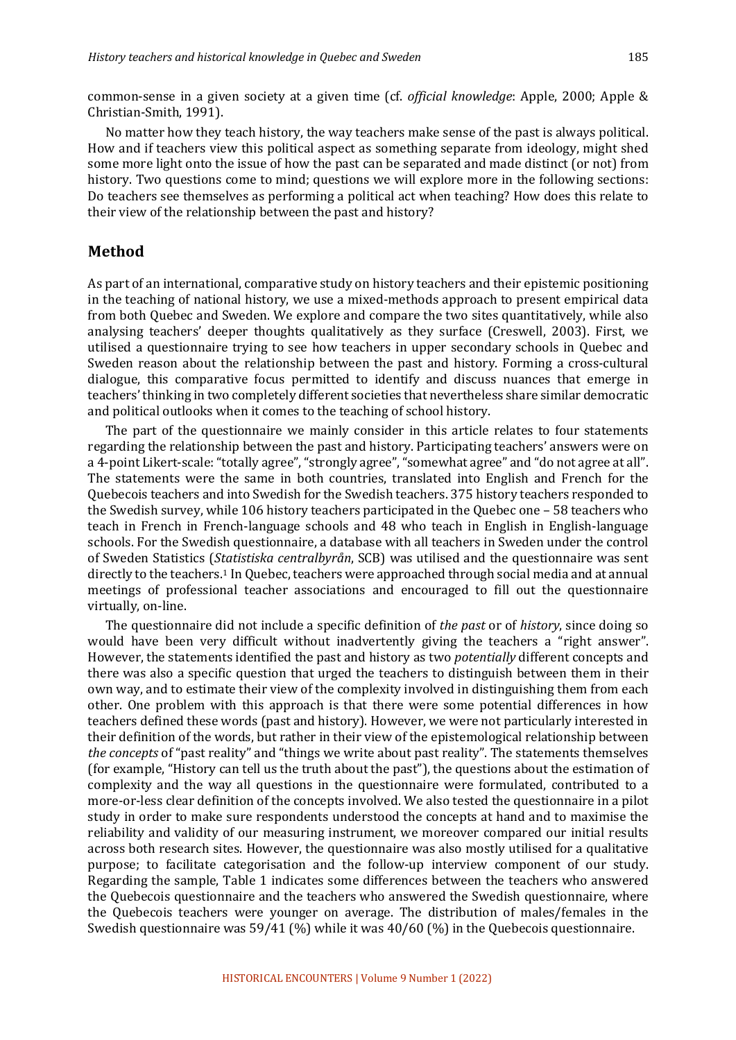common-sense in a given society at a given time (cf. *official knowledge*: Apple, 2000; Apple & Christian-Smith, 1991).

No matter how they teach history, the way teachers make sense of the past is always political. How and if teachers view this political aspect as something separate from ideology, might shed some more light onto the issue of how the past can be separated and made distinct (or not) from history. Two questions come to mind; questions we will explore more in the following sections: Do teachers see themselves as performing a political act when teaching? How does this relate to their view of the relationship between the past and history?

#### **Method**

As part of an international, comparative study on history teachers and their epistemic positioning in the teaching of national history, we use a mixed-methods approach to present empirical data from both Quebec and Sweden. We explore and compare the two sites quantitatively, while also analysing teachers' deeper thoughts qualitatively as they surface (Creswell, 2003). First, we utilised a questionnaire trying to see how teachers in upper secondary schools in Quebec and Sweden reason about the relationship between the past and history. Forming a cross-cultural dialogue, this comparative focus permitted to identify and discuss nuances that emerge in teachers' thinking in two completely different societies that nevertheless share similar democratic and political outlooks when it comes to the teaching of school history.

The part of the questionnaire we mainly consider in this article relates to four statements regarding the relationship between the past and history. Participating teachers' answers were on a 4-point Likert-scale: "totally agree", "strongly agree", "somewhat agree" and "do not agree at all". The statements were the same in both countries, translated into English and French for the Quebecois teachers and into Swedish for the Swedish teachers. 375 history teachers responded to the Swedish survey, while 106 history teachers participated in the Quebec one  $-58$  teachers who teach in French in French-language schools and 48 who teach in English in English-language schools. For the Swedish questionnaire, a database with all teachers in Sweden under the control of Sweden Statistics (*Statistiska centralbyrån*, SCB) was utilised and the questionnaire was sent directly to the teachers.<sup>1</sup> In Quebec, teachers were approached through social media and at annual meetings of professional teacher associations and encouraged to fill out the questionnaire virtually, on-line.

The questionnaire did not include a specific definition of *the past* or of *history*, since doing so would have been very difficult without inadvertently giving the teachers a "right answer". However, the statements identified the past and history as two *potentially* different concepts and there was also a specific question that urged the teachers to distinguish between them in their own way, and to estimate their view of the complexity involved in distinguishing them from each other. One problem with this approach is that there were some potential differences in how teachers defined these words (past and history). However, we were not particularly interested in their definition of the words, but rather in their view of the epistemological relationship between the concepts of "past reality" and "things we write about past reality". The statements themselves (for example, "History can tell us the truth about the past"), the questions about the estimation of complexity and the way all questions in the questionnaire were formulated, contributed to a more-or-less clear definition of the concepts involved. We also tested the questionnaire in a pilot study in order to make sure respondents understood the concepts at hand and to maximise the reliability and validity of our measuring instrument, we moreover compared our initial results across both research sites. However, the questionnaire was also mostly utilised for a qualitative purpose; to facilitate categorisation and the follow-up interview component of our study. Regarding the sample, Table 1 indicates some differences between the teachers who answered the Quebecois questionnaire and the teachers who answered the Swedish questionnaire, where the Quebecois teachers were younger on average. The distribution of males/females in the Swedish questionnaire was  $59/41$  (%) while it was  $40/60$  (%) in the Quebecois questionnaire.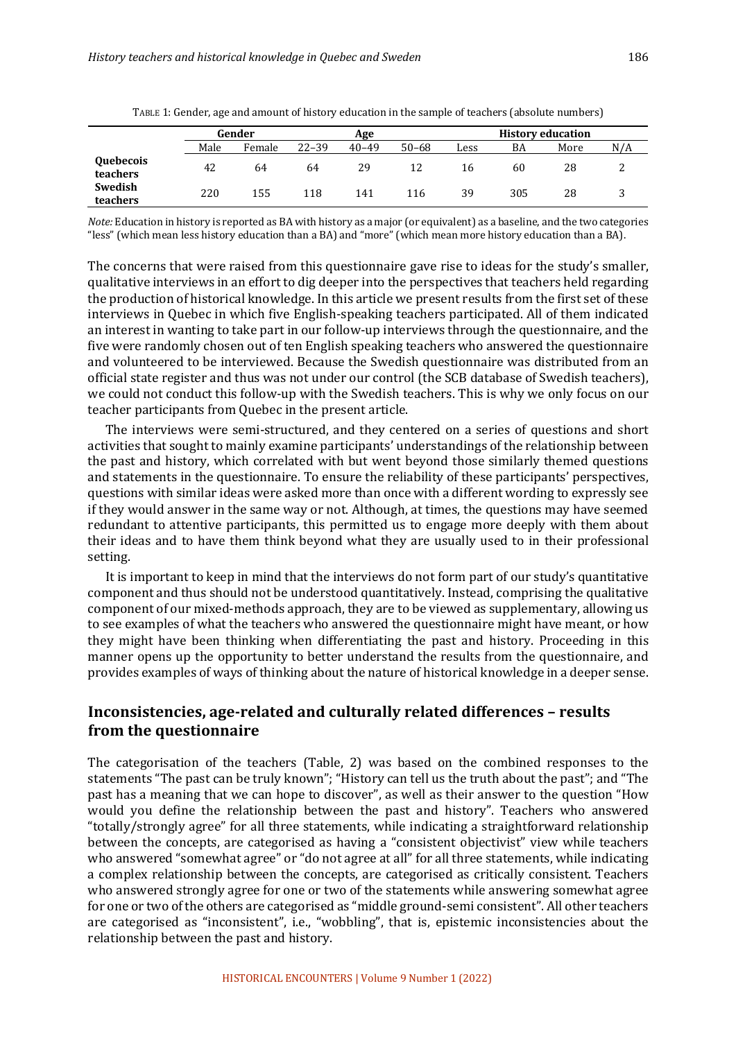|                       | Gender |        | Age       |           |           | <b>History education</b> |     |      |     |
|-----------------------|--------|--------|-----------|-----------|-----------|--------------------------|-----|------|-----|
|                       | Male   | Female | $22 - 39$ | $40 - 49$ | $50 - 68$ | Less                     | BA  | More | N/A |
| Quebecois<br>teachers | 42     | 64     | 64        | 29        | 12        | 16                       | 60  | 28   | ∼   |
| Swedish<br>teachers   | 220    | 155    | 118       | 141       | 116       | 39                       | 305 | 28   |     |

TABLE 1: Gender, age and amount of history education in the sample of teachers (absolute numbers)

*Note:* Education in history is reported as BA with history as a major (or equivalent) as a baseline, and the two categories "less" (which mean less history education than a BA) and "more" (which mean more history education than a BA).

The concerns that were raised from this questionnaire gave rise to ideas for the study's smaller, qualitative interviews in an effort to dig deeper into the perspectives that teachers held regarding the production of historical knowledge. In this article we present results from the first set of these interviews in Quebec in which five English-speaking teachers participated. All of them indicated an interest in wanting to take part in our follow-up interviews through the questionnaire, and the five were randomly chosen out of ten English speaking teachers who answered the questionnaire and volunteered to be interviewed. Because the Swedish questionnaire was distributed from an official state register and thus was not under our control (the SCB database of Swedish teachers), we could not conduct this follow-up with the Swedish teachers. This is why we only focus on our teacher participants from Quebec in the present article.

The interviews were semi-structured, and they centered on a series of questions and short activities that sought to mainly examine participants' understandings of the relationship between the past and history, which correlated with but went beyond those similarly themed questions and statements in the questionnaire. To ensure the reliability of these participants' perspectives, questions with similar ideas were asked more than once with a different wording to expressly see if they would answer in the same way or not. Although, at times, the questions may have seemed redundant to attentive participants, this permitted us to engage more deeply with them about their ideas and to have them think beyond what they are usually used to in their professional setting.

It is important to keep in mind that the interviews do not form part of our study's quantitative component and thus should not be understood quantitatively. Instead, comprising the qualitative component of our mixed-methods approach, they are to be viewed as supplementary, allowing us to see examples of what the teachers who answered the questionnaire might have meant, or how they might have been thinking when differentiating the past and history. Proceeding in this manner opens up the opportunity to better understand the results from the questionnaire, and provides examples of ways of thinking about the nature of historical knowledge in a deeper sense.

# **Inconsistencies, age-related and culturally related differences – results from the questionnaire**

The categorisation of the teachers (Table, 2) was based on the combined responses to the statements "The past can be truly known"; "History can tell us the truth about the past"; and "The past has a meaning that we can hope to discover", as well as their answer to the question "How would you define the relationship between the past and history". Teachers who answered "totally/strongly agree" for all three statements, while indicating a straightforward relationship between the concepts, are categorised as having a "consistent objectivist" view while teachers who answered "somewhat agree" or "do not agree at all" for all three statements, while indicating a complex relationship between the concepts, are categorised as critically consistent. Teachers who answered strongly agree for one or two of the statements while answering somewhat agree for one or two of the others are categorised as "middle ground-semi consistent". All other teachers are categorised as "inconsistent", i.e., "wobbling", that is, epistemic inconsistencies about the relationship between the past and history.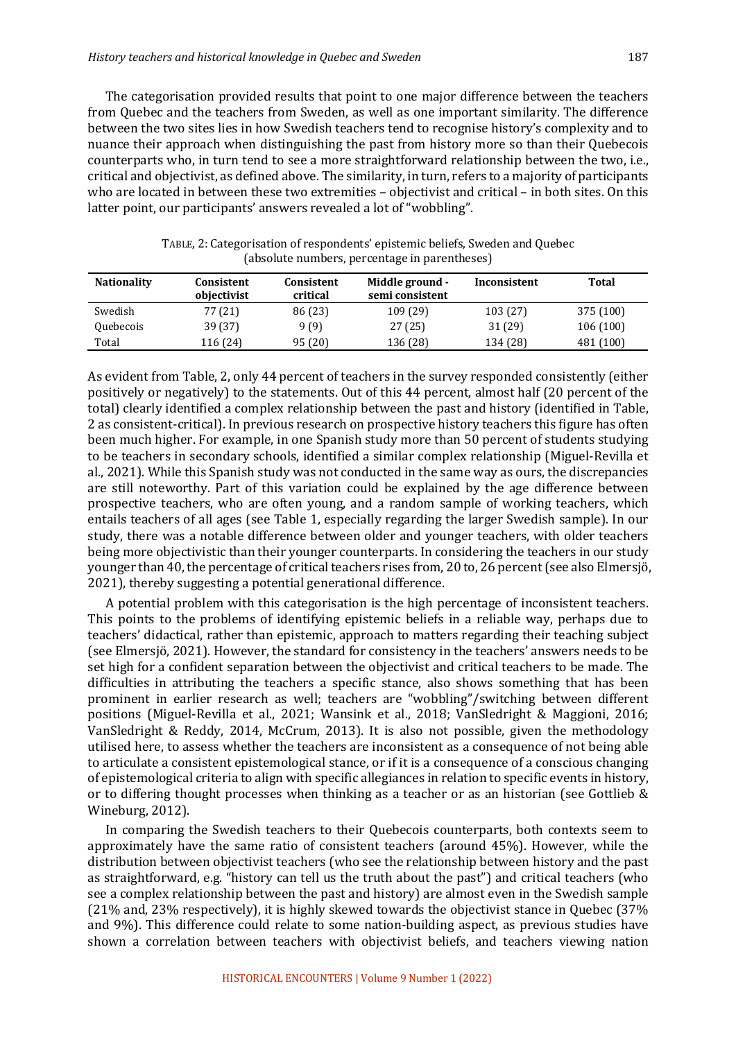The categorisation provided results that point to one major difference between the teachers from Quebec and the teachers from Sweden, as well as one important similarity. The difference between the two sites lies in how Swedish teachers tend to recognise history's complexity and to nuance their approach when distinguishing the past from history more so than their Quebecois counterparts who, in turn tend to see a more straightforward relationship between the two, i.e., critical and objectivist, as defined above. The similarity, in turn, refers to a majority of participants who are located in between these two extremities  $-$  objectivist and critical  $-$  in both sites. On this latter point, our participants' answers revealed a lot of "wobbling".

| <b>Nationality</b> | Consistent<br>objectivist | Consistent<br>critical | Middle ground -<br>semi consistent | Inconsistent | Total     |
|--------------------|---------------------------|------------------------|------------------------------------|--------------|-----------|
| Swedish            | 77 (21)                   | 86 (23)                | 109 (29)                           | 103(27)      | 375 (100) |
| Quebecois          | 39 (37)                   | 9(9)                   | 27(25)                             | 31 (29)      | 106(100)  |
| Total              | 116 (24)                  | 95(20)                 | 136 (28)                           | 134 (28)     | 481 (100) |

TABLE, 2: Categorisation of respondents' epistemic beliefs, Sweden and Quebec (absolute numbers, percentage in parentheses)

As evident from Table, 2, only 44 percent of teachers in the survey responded consistently (either positively or negatively) to the statements. Out of this 44 percent, almost half (20 percent of the total) clearly identified a complex relationship between the past and history (identified in Table, 2 as consistent-critical). In previous research on prospective history teachers this figure has often been much higher. For example, in one Spanish study more than 50 percent of students studying to be teachers in secondary schools, identified a similar complex relationship (Miguel-Revilla et al., 2021). While this Spanish study was not conducted in the same way as ours, the discrepancies are still noteworthy. Part of this variation could be explained by the age difference between prospective teachers, who are often young, and a random sample of working teachers, which entails teachers of all ages (see Table 1, especially regarding the larger Swedish sample). In our study, there was a notable difference between older and younger teachers, with older teachers being more objectivistic than their younger counterparts. In considering the teachers in our study younger than 40, the percentage of critical teachers rises from, 20 to, 26 percent (see also Elmersjö, 2021), thereby suggesting a potential generational difference.

A potential problem with this categorisation is the high percentage of inconsistent teachers. This points to the problems of identifying epistemic beliefs in a reliable way, perhaps due to teachers' didactical, rather than epistemic, approach to matters regarding their teaching subject (see Elmersjö, 2021). However, the standard for consistency in the teachers' answers needs to be set high for a confident separation between the objectivist and critical teachers to be made. The difficulties in attributing the teachers a specific stance, also shows something that has been prominent in earlier research as well; teachers are "wobbling"/switching between different positions (Miguel-Revilla et al., 2021; Wansink et al., 2018; VanSledright & Maggioni, 2016; VanSledright & Reddy, 2014, McCrum, 2013). It is also not possible, given the methodology utilised here, to assess whether the teachers are inconsistent as a consequence of not being able to articulate a consistent epistemological stance, or if it is a consequence of a conscious changing of epistemological criteria to align with specific allegiances in relation to specific events in history, or to differing thought processes when thinking as a teacher or as an historian (see Gottlieb  $\&$ Wineburg, 2012).

In comparing the Swedish teachers to their Quebecois counterparts, both contexts seem to approximately have the same ratio of consistent teachers (around 45%). However, while the distribution between objectivist teachers (who see the relationship between history and the past as straightforward, e.g. "history can tell us the truth about the past") and critical teachers (who see a complex relationship between the past and history) are almost even in the Swedish sample  $(21\%$  and, 23% respectively), it is highly skewed towards the objectivist stance in Quebec  $(37\%$ and 9%). This difference could relate to some nation-building aspect, as previous studies have shown a correlation between teachers with objectivist beliefs, and teachers viewing nation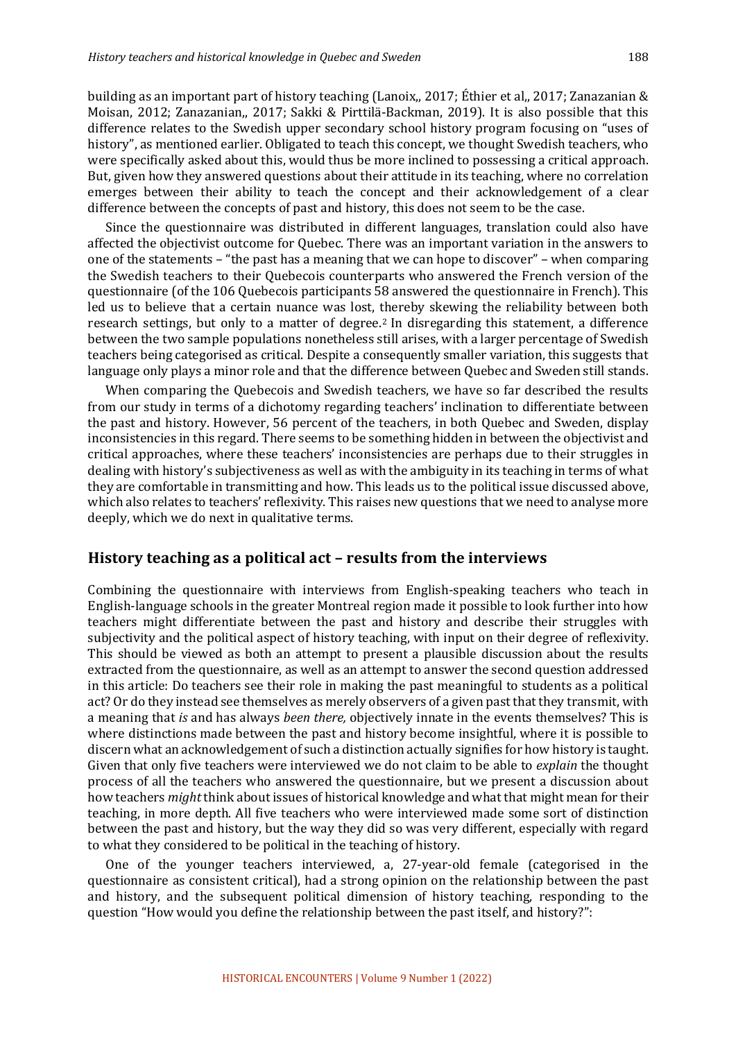building as an important part of history teaching (Lanoix,, 2017; Éthier et al., 2017; Zanazanian & Moisan, 2012; Zanazanian,, 2017; Sakki & Pirttilä-Backman, 2019). It is also possible that this difference relates to the Swedish upper secondary school history program focusing on "uses of history", as mentioned earlier. Obligated to teach this concept, we thought Swedish teachers, who were specifically asked about this, would thus be more inclined to possessing a critical approach. But, given how they answered questions about their attitude in its teaching, where no correlation emerges between their ability to teach the concept and their acknowledgement of a clear difference between the concepts of past and history, this does not seem to be the case.

Since the questionnaire was distributed in different languages, translation could also have affected the objectivist outcome for Quebec. There was an important variation in the answers to one of the statements – "the past has a meaning that we can hope to discover" – when comparing the Swedish teachers to their Quebecois counterparts who answered the French version of the questionnaire (of the 106 Quebecois participants 58 answered the questionnaire in French). This led us to believe that a certain nuance was lost, thereby skewing the reliability between both research settings, but only to a matter of degree.<sup>2</sup> In disregarding this statement, a difference between the two sample populations nonetheless still arises, with a larger percentage of Swedish teachers being categorised as critical. Despite a consequently smaller variation, this suggests that language only plays a minor role and that the difference between Quebec and Sweden still stands.

When comparing the Quebecois and Swedish teachers, we have so far described the results from our study in terms of a dichotomy regarding teachers' inclination to differentiate between the past and history. However, 56 percent of the teachers, in both Quebec and Sweden, display inconsistencies in this regard. There seems to be something hidden in between the objectivist and critical approaches, where these teachers' inconsistencies are perhaps due to their struggles in dealing with history's subjectiveness as well as with the ambiguity in its teaching in terms of what they are comfortable in transmitting and how. This leads us to the political issue discussed above, which also relates to teachers' reflexivity. This raises new questions that we need to analyse more deeply, which we do next in qualitative terms.

#### **History teaching as a political act – results from the interviews**

Combining the questionnaire with interviews from English-speaking teachers who teach in English-language schools in the greater Montreal region made it possible to look further into how teachers might differentiate between the past and history and describe their struggles with subjectivity and the political aspect of history teaching, with input on their degree of reflexivity. This should be viewed as both an attempt to present a plausible discussion about the results extracted from the questionnaire, as well as an attempt to answer the second question addressed in this article: Do teachers see their role in making the past meaningful to students as a political act? Or do they instead see themselves as merely observers of a given past that they transmit, with a meaning that *is* and has always *been there,* objectively innate in the events themselves? This is where distinctions made between the past and history become insightful, where it is possible to discern what an acknowledgement of such a distinction actually signifies for how history is taught. Given that only five teachers were interviewed we do not claim to be able to *explain* the thought process of all the teachers who answered the questionnaire, but we present a discussion about how teachers *might* think about issues of historical knowledge and what that might mean for their teaching, in more depth. All five teachers who were interviewed made some sort of distinction between the past and history, but the way they did so was very different, especially with regard to what they considered to be political in the teaching of history.

One of the younger teachers interviewed, a, 27-year-old female (categorised in the questionnaire as consistent critical), had a strong opinion on the relationship between the past and history, and the subsequent political dimension of history teaching, responding to the question "How would you define the relationship between the past itself, and history?":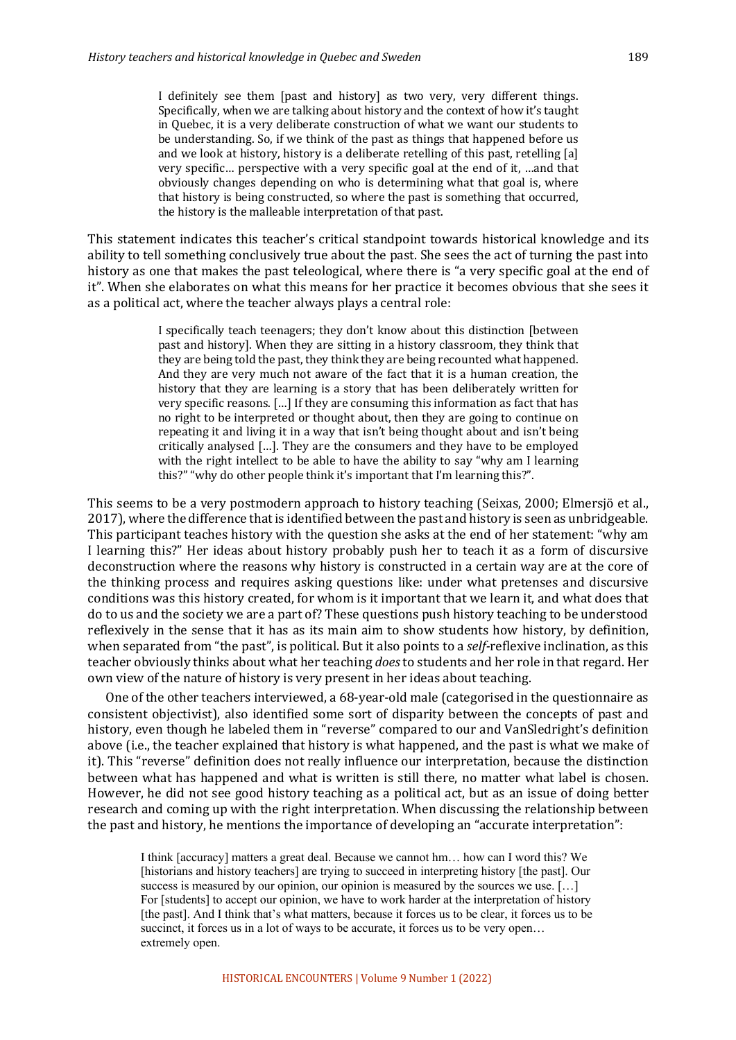I definitely see them [past and history] as two very, very different things. Specifically, when we are talking about history and the context of how it's taught in Quebec, it is a very deliberate construction of what we want our students to be understanding. So, if we think of the past as things that happened before us and we look at history, history is a deliberate retelling of this past, retelling [a] very specific... perspective with a very specific goal at the end of it, ...and that obviously changes depending on who is determining what that goal is, where that history is being constructed, so where the past is something that occurred, the history is the malleable interpretation of that past.

This statement indicates this teacher's critical standpoint towards historical knowledge and its ability to tell something conclusively true about the past. She sees the act of turning the past into history as one that makes the past teleological, where there is "a very specific goal at the end of it". When she elaborates on what this means for her practice it becomes obvious that she sees it as a political act, where the teacher always plays a central role:

> I specifically teach teenagers; they don't know about this distinction [between past and history]. When they are sitting in a history classroom, they think that they are being told the past, they think they are being recounted what happened. And they are very much not aware of the fact that it is a human creation, the history that they are learning is a story that has been deliberately written for very specific reasons. [...] If they are consuming this information as fact that has no right to be interpreted or thought about, then they are going to continue on repeating it and living it in a way that isn't being thought about and isn't being critically analysed [...]. They are the consumers and they have to be employed with the right intellect to be able to have the ability to say "why am I learning this?" "why do other people think it's important that I'm learning this?".

This seems to be a very postmodern approach to history teaching (Seixas, 2000; Elmersjö et al., 2017), where the difference that is identified between the past and history is seen as unbridgeable. This participant teaches history with the question she asks at the end of her statement: "why am I learning this?" Her ideas about history probably push her to teach it as a form of discursive deconstruction where the reasons why history is constructed in a certain way are at the core of the thinking process and requires asking questions like: under what pretenses and discursive conditions was this history created, for whom is it important that we learn it, and what does that do to us and the society we are a part of? These questions push history teaching to be understood reflexively in the sense that it has as its main aim to show students how history, by definition, when separated from "the past", is political. But it also points to a *self-*reflexive inclination, as this teacher obviously thinks about what her teaching *does* to students and her role in that regard. Her own view of the nature of history is very present in her ideas about teaching.

One of the other teachers interviewed, a 68-year-old male (categorised in the questionnaire as consistent objectivist), also identified some sort of disparity between the concepts of past and history, even though he labeled them in "reverse" compared to our and VanSledright's definition above (i.e., the teacher explained that history is what happened, and the past is what we make of it). This "reverse" definition does not really influence our interpretation, because the distinction between what has happened and what is written is still there, no matter what label is chosen. However, he did not see good history teaching as a political act, but as an issue of doing better research and coming up with the right interpretation. When discussing the relationship between the past and history, he mentions the importance of developing an "accurate interpretation":

I think [accuracy] matters a great deal. Because we cannot hm… how can I word this? We [historians and history teachers] are trying to succeed in interpreting history [the past]. Our success is measured by our opinion, our opinion is measured by the sources we use. [...] For [students] to accept our opinion, we have to work harder at the interpretation of history [the past]. And I think that's what matters, because it forces us to be clear, it forces us to be succinct, it forces us in a lot of ways to be accurate, it forces us to be very open... extremely open.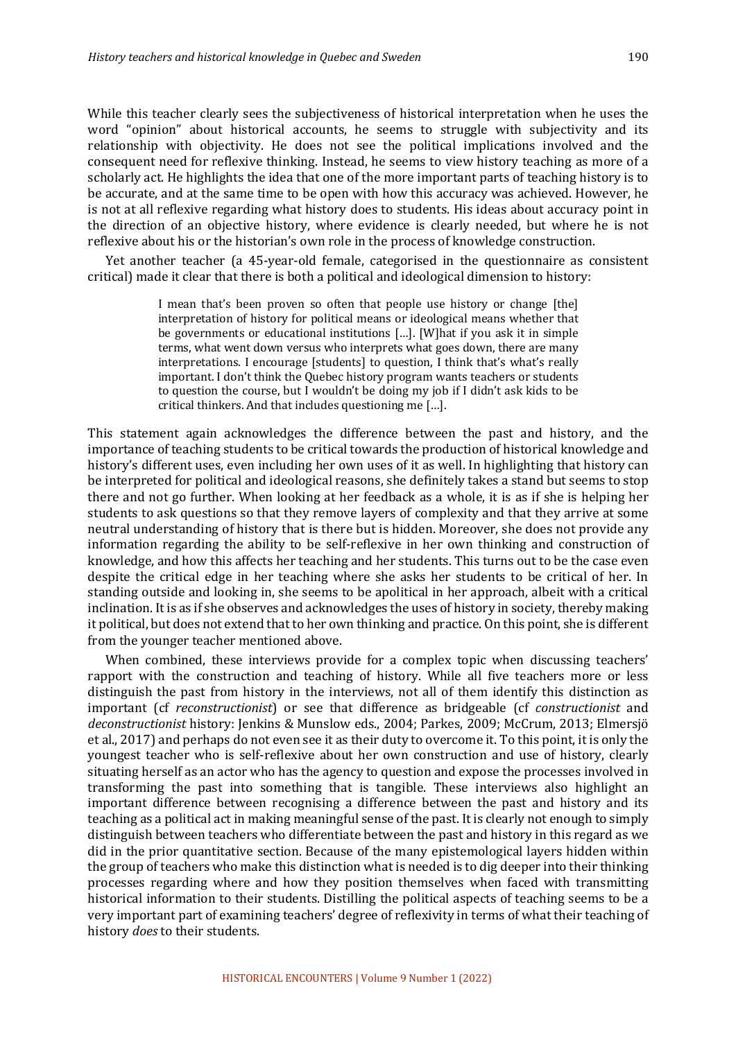While this teacher clearly sees the subjectiveness of historical interpretation when he uses the word "opinion" about historical accounts, he seems to struggle with subjectivity and its relationship with objectivity. He does not see the political implications involved and the consequent need for reflexive thinking. Instead, he seems to view history teaching as more of a scholarly act. He highlights the idea that one of the more important parts of teaching history is to be accurate, and at the same time to be open with how this accuracy was achieved. However, he is not at all reflexive regarding what history does to students. His ideas about accuracy point in the direction of an objective history, where evidence is clearly needed, but where he is not reflexive about his or the historian's own role in the process of knowledge construction.

Yet another teacher (a 45-year-old female, categorised in the questionnaire as consistent critical) made it clear that there is both a political and ideological dimension to history:

> I mean that's been proven so often that people use history or change [the] interpretation of history for political means or ideological means whether that be governments or educational institutions  $[...]$ . [W]hat if you ask it in simple terms, what went down versus who interprets what goes down, there are many interpretations. I encourage [students] to question, I think that's what's really important. I don't think the Quebec history program wants teachers or students to question the course, but I wouldn't be doing my job if I didn't ask kids to be critical thinkers. And that includes questioning me  $[...]$ .

This statement again acknowledges the difference between the past and history, and the importance of teaching students to be critical towards the production of historical knowledge and history's different uses, even including her own uses of it as well. In highlighting that history can be interpreted for political and ideological reasons, she definitely takes a stand but seems to stop there and not go further. When looking at her feedback as a whole, it is as if she is helping her students to ask questions so that they remove layers of complexity and that they arrive at some neutral understanding of history that is there but is hidden. Moreover, she does not provide any information regarding the ability to be self-reflexive in her own thinking and construction of knowledge, and how this affects her teaching and her students. This turns out to be the case even despite the critical edge in her teaching where she asks her students to be critical of her. In standing outside and looking in, she seems to be apolitical in her approach, albeit with a critical inclination. It is as if she observes and acknowledges the uses of history in society, thereby making it political, but does not extend that to her own thinking and practice. On this point, she is different from the younger teacher mentioned above.

When combined, these interviews provide for a complex topic when discussing teachers' rapport with the construction and teaching of history. While all five teachers more or less distinguish the past from history in the interviews, not all of them identify this distinction as important (cf *reconstructionist*) or see that difference as bridgeable (cf *constructionist* and deconstructionist history: Jenkins & Munslow eds., 2004; Parkes, 2009; McCrum, 2013; Elmersjö et al., 2017) and perhaps do not even see it as their duty to overcome it. To this point, it is only the youngest teacher who is self-reflexive about her own construction and use of history, clearly situating herself as an actor who has the agency to question and expose the processes involved in transforming the past into something that is tangible. These interviews also highlight an important difference between recognising a difference between the past and history and its teaching as a political act in making meaningful sense of the past. It is clearly not enough to simply distinguish between teachers who differentiate between the past and history in this regard as we did in the prior quantitative section. Because of the many epistemological layers hidden within the group of teachers who make this distinction what is needed is to dig deeper into their thinking processes regarding where and how they position themselves when faced with transmitting historical information to their students. Distilling the political aspects of teaching seems to be a very important part of examining teachers' degree of reflexivity in terms of what their teaching of history *does* to their students.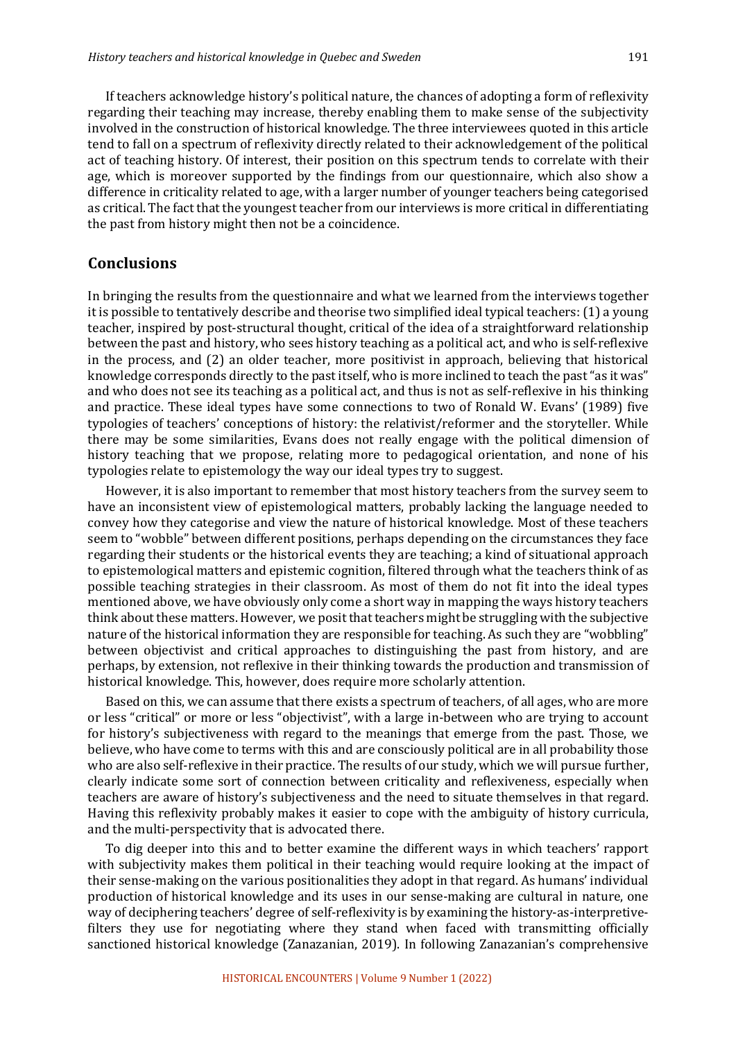If teachers acknowledge history's political nature, the chances of adopting a form of reflexivity regarding their teaching may increase, thereby enabling them to make sense of the subjectivity involved in the construction of historical knowledge. The three interviewees quoted in this article tend to fall on a spectrum of reflexivity directly related to their acknowledgement of the political act of teaching history. Of interest, their position on this spectrum tends to correlate with their age, which is moreover supported by the findings from our questionnaire, which also show a difference in criticality related to age, with a larger number of younger teachers being categorised as critical. The fact that the youngest teacher from our interviews is more critical in differentiating the past from history might then not be a coincidence.

#### **Conclusions**

In bringing the results from the questionnaire and what we learned from the interviews together it is possible to tentatively describe and theorise two simplified ideal typical teachers:  $(1)$  a young teacher, inspired by post-structural thought, critical of the idea of a straightforward relationship between the past and history, who sees history teaching as a political act, and who is self-reflexive in the process, and  $(2)$  an older teacher, more positivist in approach, believing that historical knowledge corresponds directly to the past itself, who is more inclined to teach the past "as it was" and who does not see its teaching as a political act, and thus is not as self-reflexive in his thinking and practice. These ideal types have some connections to two of Ronald W. Evans' (1989) five typologies of teachers' conceptions of history: the relativist/reformer and the storyteller. While there may be some similarities, Evans does not really engage with the political dimension of history teaching that we propose, relating more to pedagogical orientation, and none of his typologies relate to epistemology the way our ideal types try to suggest.

However, it is also important to remember that most history teachers from the survey seem to have an inconsistent view of epistemological matters, probably lacking the language needed to convey how they categorise and view the nature of historical knowledge. Most of these teachers seem to "wobble" between different positions, perhaps depending on the circumstances they face regarding their students or the historical events they are teaching; a kind of situational approach to epistemological matters and epistemic cognition, filtered through what the teachers think of as possible teaching strategies in their classroom. As most of them do not fit into the ideal types mentioned above, we have obviously only come a short way in mapping the ways history teachers think about these matters. However, we posit that teachers might be struggling with the subjective nature of the historical information they are responsible for teaching. As such they are "wobbling" between objectivist and critical approaches to distinguishing the past from history, and are perhaps, by extension, not reflexive in their thinking towards the production and transmission of historical knowledge. This, however, does require more scholarly attention.

Based on this, we can assume that there exists a spectrum of teachers, of all ages, who are more or less "critical" or more or less "objectivist", with a large in-between who are trying to account for history's subjectiveness with regard to the meanings that emerge from the past. Those, we believe, who have come to terms with this and are consciously political are in all probability those who are also self-reflexive in their practice. The results of our study, which we will pursue further, clearly indicate some sort of connection between criticality and reflexiveness, especially when teachers are aware of history's subjectiveness and the need to situate themselves in that regard. Having this reflexivity probably makes it easier to cope with the ambiguity of history curricula, and the multi-perspectivity that is advocated there.

To dig deeper into this and to better examine the different ways in which teachers' rapport with subjectivity makes them political in their teaching would require looking at the impact of their sense-making on the various positionalities they adopt in that regard. As humans' individual production of historical knowledge and its uses in our sense-making are cultural in nature, one way of deciphering teachers' degree of self-reflexivity is by examining the history-as-interpretivefilters they use for negotiating where they stand when faced with transmitting officially sanctioned historical knowledge (Zanazanian, 2019). In following Zanazanian's comprehensive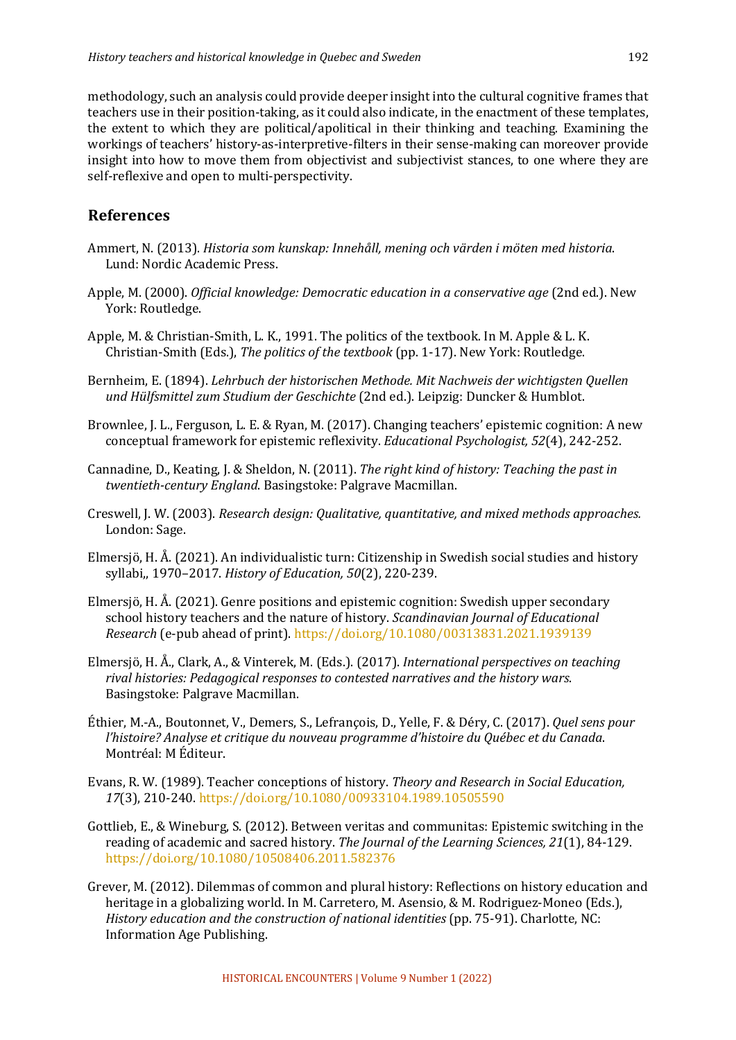methodology, such an analysis could provide deeper insight into the cultural cognitive frames that teachers use in their position-taking, as it could also indicate, in the enactment of these templates, the extent to which they are political/apolitical in their thinking and teaching. Examining the workings of teachers' history-as-interpretive-filters in their sense-making can moreover provide insight into how to move them from objectivist and subjectivist stances, to one where they are self-reflexive and open to multi-perspectivity.

# **References**

- Ammert, N. (2013). *Historia som kunskap: Innehåll, mening och värden i möten med historia.* Lund: Nordic Academic Press.
- Apple, M. (2000). *Official knowledge: Democratic education in a conservative age* (2nd ed.). New York: Routledge.
- Apple, M. & Christian-Smith, L. K., 1991. The politics of the textbook. In M. Apple & L. K. Christian-Smith (Eds.), *The politics of the textbook* (pp. 1-17). New York: Routledge.
- Bernheim, E. (1894). *Lehrbuch der historischen Methode. Mit Nachweis der wichtigsten Quellen und Hülfsmittel zum Studium der Geschichte* (2nd ed.). Leipzig: Duncker & Humblot.
- Brownlee, J. L., Ferguson, L. E. & Ryan, M. (2017). Changing teachers' epistemic cognition: A new conceptual framework for epistemic reflexivity. *Educational Psychologist,* 52(4), 242-252.
- Cannadine, D., Keating, J. & Sheldon, N. (2011). *The right kind of history: Teaching the past in twentieth-century England*. Basingstoke: Palgrave Macmillan.
- Creswell, J. W. (2003). *Research design: Qualitative, quantitative, and mixed methods approaches.* London: Sage.
- Elmersjö, H. Å.  $(2021)$ . An individualistic turn: Citizenship in Swedish social studies and history syllabi,, 1970-2017. *History of Education, 50*(2), 220-239.
- Elmersjö, H. Å.  $(2021)$ . Genre positions and epistemic cognition: Swedish upper secondary school history teachers and the nature of history. *Scandinavian Journal of Educational Research* (e-pub ahead of print). https://doi.org/10.1080/00313831.2021.1939139
- Elmersjö, H. Å., Clark, A., & Vinterek, M. (Eds.). (2017). *International perspectives on teaching* rival histories: Pedagogical responses to contested narratives and the history wars. Basingstoke: Palgrave Macmillan.
- Éthier, M.-A., Boutonnet, V., Demers, S., Lefrançois, D., Yelle, F. & Déry, C. (2017). *Quel sens pour l'histoire?* Analyse et critique du nouveau programme d'histoire du Québec et du Canada. Montréal: M Éditeur.
- Evans, R. W. (1989). Teacher conceptions of history. *Theory and Research in Social Education*, *17*(3), 210-240. https://doi.org/10.1080/00933104.1989.10505590
- Gottlieb, E., & Wineburg, S. (2012). Between veritas and communitas: Epistemic switching in the reading of academic and sacred history. *The Journal of the Learning Sciences, 21*(1), 84-129. https://doi.org/10.1080/10508406.2011.582376
- Grever, M. (2012). Dilemmas of common and plural history: Reflections on history education and heritage in a globalizing world. In M. Carretero, M. Asensio, & M. Rodriguez-Moneo (Eds.), *History education and the construction of national identities* (pp. 75-91). Charlotte, NC: Information Age Publishing.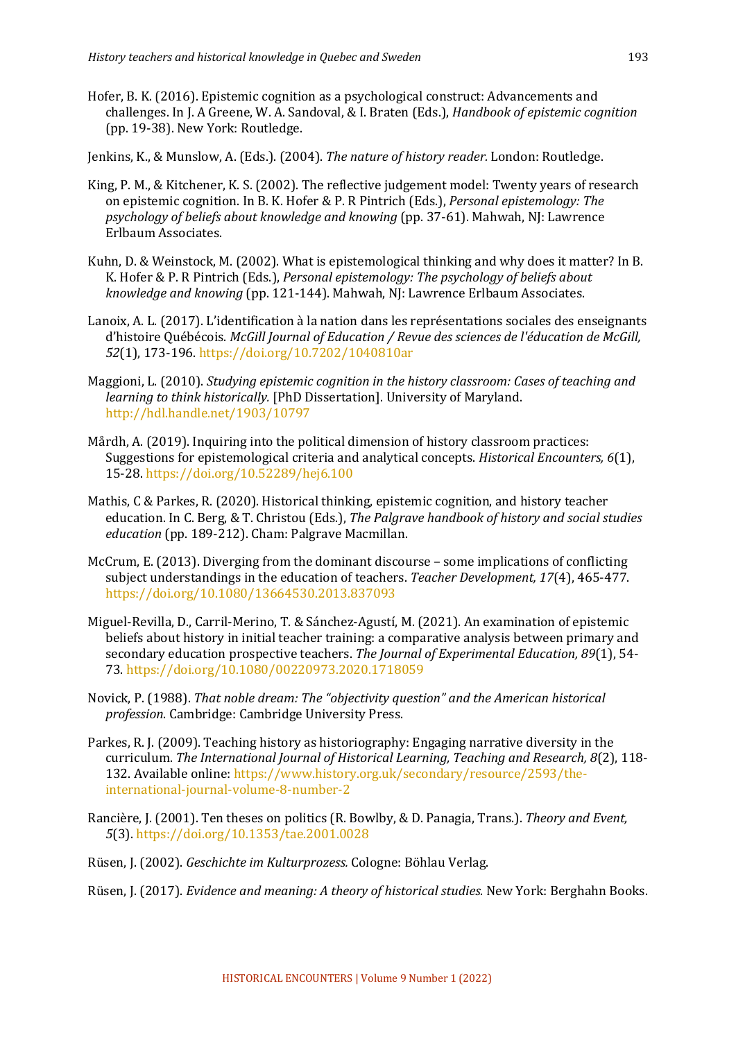Hofer, B. K. (2016). Epistemic cognition as a psychological construct: Advancements and challenges. In J. A Greene, W. A. Sandoval, & I. Braten (Eds.), *Handbook of epistemic cognition* (pp. 19-38). New York: Routledge.

Jenkins, K., & Munslow, A. (Eds.). (2004). *The nature of history reader.* London: Routledge.

- King, P. M., & Kitchener, K. S. (2002). The reflective judgement model: Twenty years of research on epistemic cognition. In B. K. Hofer & P. R Pintrich (Eds.), *Personal epistemology: The* psychology of beliefs about knowledge and knowing (pp. 37-61). Mahwah, NJ: Lawrence Erlbaum Associates.
- Kuhn, D. & Weinstock, M. (2002). What is epistemological thinking and why does it matter? In B. K. Hofer & P. R Pintrich (Eds.), *Personal epistemology: The psychology of beliefs about knowledge and knowing* (pp. 121-144). Mahwah, NJ: Lawrence Erlbaum Associates.
- Lanoix, A. L. (2017). L'identification à la nation dans les représentations sociales des enseignants d'histoire Québécois. *McGill Journal of Education / Revue des sciences de l'éducation de McGill,* 52(1), 173-196. https://doi.org/10.7202/1040810ar
- Maggioni, L. (2010). *Studying epistemic cognition in the history classroom: Cases of teaching and learning to think historically.* [PhD Dissertation]. University of Maryland. http://hdl.handle.net/1903/10797
- Mårdh, A. (2019). Inquiring into the political dimension of history classroom practices: Suggestions for epistemological criteria and analytical concepts. *Historical Encounters,* 6(1), 15-28. https://doi.org/10.52289/hej6.100
- Mathis,  $C \&$  Parkes, R. (2020). Historical thinking, epistemic cognition, and history teacher education. In C. Berg, & T. Christou (Eds.), *The Palgrave handbook of history and social studies education* (pp. 189-212). Cham: Palgrave Macmillan.
- McCrum, E. (2013). Diverging from the dominant discourse some implications of conflicting subject understandings in the education of teachers. *Teacher Development*, 17(4), 465-477. https://doi.org/10.1080/13664530.2013.837093
- Miguel-Revilla, D., Carril-Merino, T. & Sánchez-Agustí, M. (2021). An examination of epistemic beliefs about history in initial teacher training: a comparative analysis between primary and secondary education prospective teachers. The Journal of Experimental Education, 89(1), 54-73. https://doi.org/10.1080/00220973.2020.1718059
- Novick, P. (1988). *That noble dream: The "objectivity question"* and the American historical *profession*. Cambridge: Cambridge University Press.
- Parkes, R. I. (2009). Teaching history as historiography: Engaging narrative diversity in the curriculum. *The International Journal of Historical Learning, Teaching and Research, 8*(2), 118-132. Available online: https://www.history.org.uk/secondary/resource/2593/theinternational-journal-volume-8-number-2
- Rancière, I. (2001). Ten theses on politics (R. Bowlby, & D. Panagia, Trans.). *Theory and Event. 5*(3). https://doi.org/10.1353/tae.2001.0028
- Rüsen, J. (2002). *Geschichte im Kulturprozess.* Cologne: Böhlau Verlag.
- Rüsen, J. (2017). *Evidence and meaning: A theory of historical studies*. New York: Berghahn Books.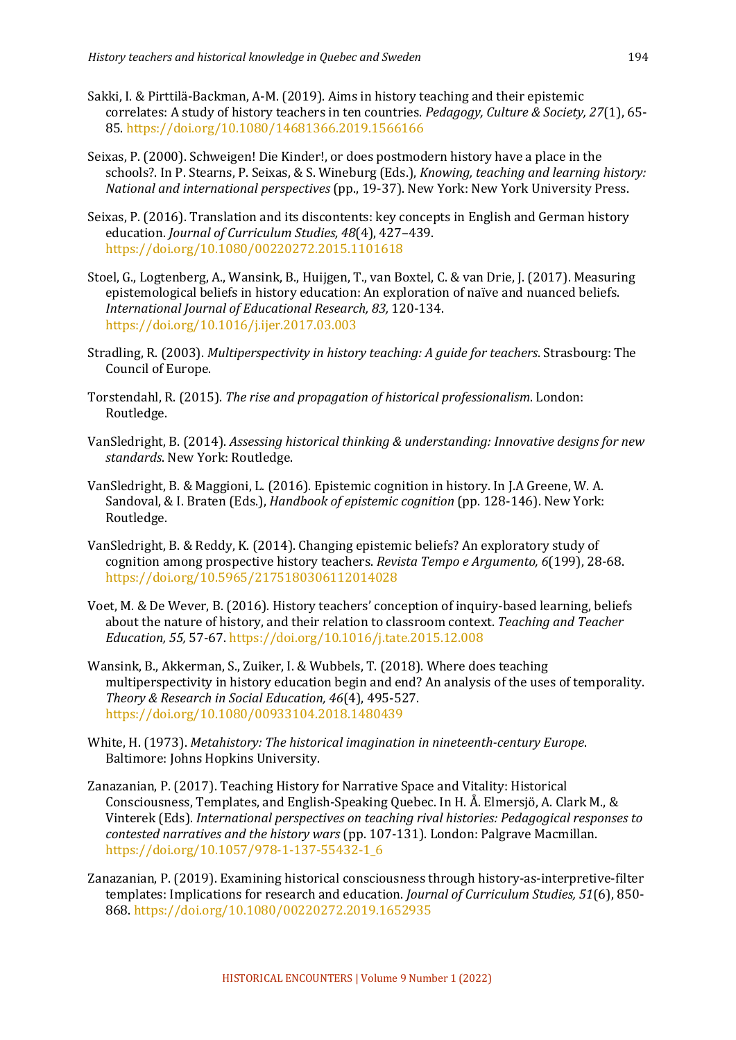- Sakki, I. & Pirttilä-Backman, A-M. (2019). Aims in history teaching and their epistemic correlates: A study of history teachers in ten countries. *Pedagogy, Culture & Society, 27*(1), 65-85. https://doi.org/10.1080/14681366.2019.1566166
- Seixas, P. (2000). Schweigen! Die Kinder!, or does postmodern history have a place in the schools?. In P. Stearns, P. Seixas, & S. Wineburg (Eds.), *Knowing, teaching and learning history: National and international perspectives* (pp., 19-37). New York: New York University Press.
- Seixas, P. (2016). Translation and its discontents: key concepts in English and German history education. *Journal of Curriculum Studies, 48*(4), 427-439. https://doi.org/10.1080/00220272.2015.1101618
- Stoel, G., Logtenberg, A., Wansink, B., Huijgen, T., van Boxtel, C. & van Drie, J. (2017). Measuring epistemological beliefs in history education: An exploration of naïve and nuanced beliefs. *International Journal of Educational Research, 83,* 120-134. https://doi.org/10.1016/j.ijer.2017.03.003
- Stradling, R. (2003). *Multiperspectivity in history teaching: A guide for teachers*. Strasbourg: The Council of Europe.
- Torstendahl, R. (2015). *The rise and propagation of historical professionalism*. London: Routledge.
- VanSledright, B. (2014). *Assessing historical thinking & understanding: Innovative designs for new standards*. New York: Routledge.
- VanSledright, B. & Maggioni, L. (2016). Epistemic cognition in history. In J.A Greene, W. A. Sandoval, & I. Braten (Eds.), *Handbook of epistemic cognition* (pp. 128-146). New York: Routledge.
- VanSledright, B. & Reddy, K. (2014). Changing epistemic beliefs? An exploratory study of cognition among prospective history teachers. *Revista Tempo e Argumento, 6*(199), 28-68. https://doi.org/10.5965/2175180306112014028
- Voet, M. & De Wever, B. (2016). History teachers' conception of inquiry-based learning, beliefs about the nature of history, and their relation to classroom context. *Teaching and Teacher Education, 55,* 57-67. https://doi.org/10.1016/j.tate.2015.12.008
- Wansink, B., Akkerman, S., Zuiker, I. & Wubbels, T. (2018). Where does teaching multiperspectivity in history education begin and end? An analysis of the uses of temporality. *Theory & Research in Social Education, 46*(4), 495-527. https://doi.org/10.1080/00933104.2018.1480439
- White, H. (1973). *Metahistory: The historical imagination in nineteenth-century Europe.* Baltimore: Johns Hopkins University.
- Zanazanian, P. (2017). Teaching History for Narrative Space and Vitality: Historical Consciousness, Templates, and English-Speaking Quebec. In H. Å. Elmersjö, A. Clark M., & Vinterek (Eds). *International perspectives on teaching rival histories: Pedagogical responses to contested narratives and the history wars* (pp. 107-131). London: Palgrave Macmillan. https://doi.org/10.1057/978-1-137-55432-1\_6
- Zanazanian, P. (2019). Examining historical consciousness through history-as-interpretive-filter templates: Implications for research and education. *Journal of Curriculum Studies*, 51(6), 850-868. https://doi.org/10.1080/00220272.2019.1652935